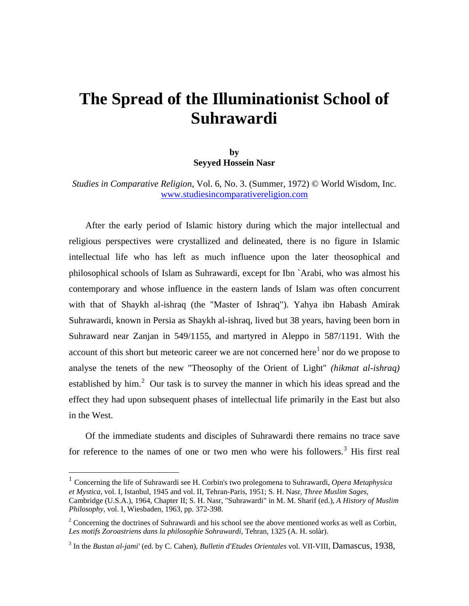## **The Spread of the Illuminationist School of Suhrawardi**

## **by Seyyed Hossein Nasr**

*Studies in Comparative Religion*, Vol. 6, No. 3. (Summer, 1972) © World Wisdom, Inc. [www.studiesincomparativereligion.com](http://www.studiesincomparativereligion.com/)

After the early period of Islamic history during which the major intellectual and religious perspectives were crystallized and delineated, there is no figure in Islamic intellectual life who has left as much influence upon the later theosophical and philosophical schools of Islam as Suhrawardi, except for Ibn `Arabi, who was almost his contemporary and whose influence in the eastern lands of Islam was often concurrent with that of Shaykh al-ishraq (the "Master of Ishraq"). Yahya ibn Habash Amirak Suhrawardi, known in Persia as Shaykh al-ishraq, lived but 38 years, having been born in Suhraward near Zanjan in 549/1155, and martyred in Aleppo in 587/1191. With the account of this short but meteoric career we are not concerned here $<sup>1</sup>$  $<sup>1</sup>$  $<sup>1</sup>$  nor do we propose to</sup> analyse the tenets of the new "Theosophy of the Orient of Light" *(hikmat al-ishraq)*  established by him.<sup>[2](#page-0-1)</sup> Our task is to survey the manner in which his ideas spread and the effect they had upon subsequent phases of intellectual life primarily in the East but also in the West.

Of the immediate students and disciples of Suhrawardi there remains no trace save for reference to the names of one or two men who were his followers.<sup>[3](#page-0-2)</sup> His first real

<span id="page-0-0"></span><sup>1</sup> Concerning the life of Suhrawardi see H. Corbin's two prolegomena to Suhrawardi, *Opera Metaphysica et Mystica*, vol. I, Istanbul, 1945 and vol. II, Tehran-Paris, 1951; S. H. Nasr, *Three Muslim Sages*, Cambridge (U.S.A.), 1964, Chapter II; S. H. Nasr, "Suhrawardi" in M. M. Sharif (ed.), *A History of Muslim* 

*Philosophy*, vol. I, Wiesbaden, 1963, pp. 372-398.

<span id="page-0-1"></span> $2^2$  Concerning the doctrines of Suhrawardi and his school see the above mentioned works as well as Corbin, *Les motifs Zoroastriens dans la philosophie Sohrawardi*, Tehran, 1325 (A. H. solàr).

<span id="page-0-2"></span><sup>3</sup> In the *Bustan al-jami'* (ed. by C. Cahen), *Bulletin d'Etudes Orientales* vol. VII-VIII, Damascus, 1938,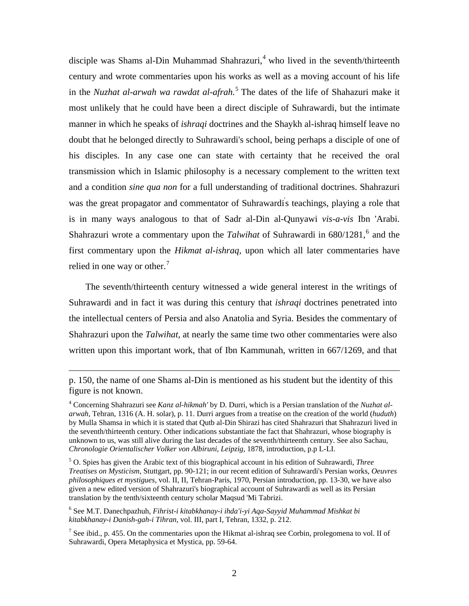disciple was Shams al-Din Muhammad Shahrazuri,<sup>[4](#page-1-0)</sup> who lived in the seventh/thirteenth century and wrote commentaries upon his works as well as a moving account of his life in the *Nuzhat al-arwah wa rawdat al-afrah.*[5](#page-1-1) The dates of the life of Shahazuri make it most unlikely that he could have been a direct disciple of Suhrawardi, but the intimate manner in which he speaks of *ishraqi* doctrines and the Shaykh al-ishraq himself leave no doubt that he belonged directly to Suhrawardi's school, being perhaps a disciple of one of his disciples. In any case one can state with certainty that he received the oral transmission which in Islamic philosophy is a necessary complement to the written text and a condition *sine qua non* for a full understanding of traditional doctrines. Shahrazuri was the great propagator and commentator of Suhrawardi' s teachings, playing a role that is in many ways analogous to that of Sadr al-Din al-Qunyawi *vis-a-vis* Ibn 'Arabi. Shahrazuri wrote a commentary upon the *Talwihat* of Suhrawardi in [6](#page-1-2)80/1281,<sup>6</sup> and the first commentary upon the *Hikmat al-ishraq,* upon which all later commentaries have relied in one way or other.<sup>[7](#page-1-3)</sup>

The seventh/thirteenth century witnessed a wide general interest in the writings of Suhrawardi and in fact it was during this century that *ishraqi* doctrines penetrated into the intellectual centers of Persia and also Anatolia and Syria. Besides the commentary of Shahrazuri upon the *Talwihat,* at nearly the same time two other commentaries were also written upon this important work, that of Ibn Kammunah, written in 667/1269, and that

p. 150, the name of one Shams al-Din is mentioned as his student but the identity of this figure is not known.

<span id="page-1-0"></span><sup>4</sup> Concerning Shahrazuri see *Kanz al-hikmah'* by D. Durri, which is a Persian translation of the *Nuzhat alarwah*, Tehran, 1316 (A. H. solar), p. 11. Durri argues from a treatise on the creation of the world (*huduth*) by Mulla Shamsa in which it is stated that Qutb al-Din Shirazi has cited Shahrazuri that Shahrazuri lived in the seventh/thirteenth century. Other indications substantiate the fact that Shahrazuri, whose biography is unknown to us, was still alive during the last decades of the seventh/thirteenth century. See also Sachau, *Chronologie Orientalischer Volker von Albiruni, Leipzig,* 1878, introduction, p.p L-LI.

<span id="page-1-1"></span><sup>5</sup> O. Spies has given the Arabic text of this biographical account in his edition of Suhrawardi, *Three Treatises on Mysticism,* Stuttgart, pp. 90-121; in our recent edition of Suhrawardi's Persian works, *Oeuvres philosophiques et mystigues*, vol. II, II, Tehran-Paris, 1970, Persian introduction, pp. 13-30, we have also given a new edited version of Shahrazuri's biographical account of Suhrawardi as well as its Persian translation by the tenth/sixteenth century scholar Maqsud 'Mi Tabrizi.

<span id="page-1-2"></span><sup>6</sup> See M.T. Danechpazhuh, *Fihrist-i kitabkhanay-i ihda'i-yi Aqa-Sayyid Muhammad Mishkat bi kitabkhanay-i Danish-gah-i Tihran*, vol. III, part I, Tehran, 1332, p. 212.

<span id="page-1-3"></span><sup>&</sup>lt;sup>7</sup> See ibid., p. 455. On the commentaries upon the Hikmat al-ishraq see Corbin, prolegomena to vol. II of Suhrawardi, Opera Metaphysica et Mystica, pp. 59-64.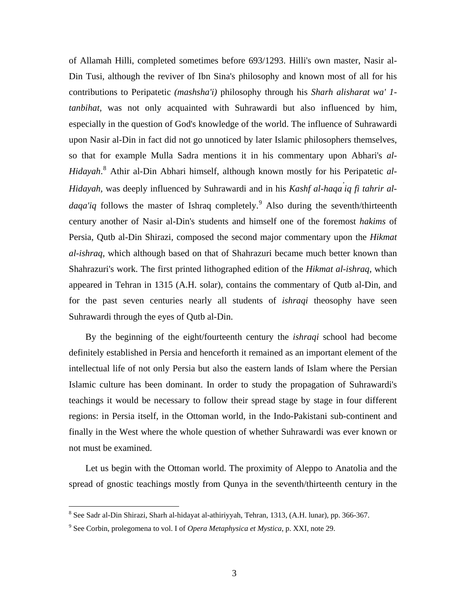of Allamah Hilli, completed sometimes before 693/1293. Hilli's own master, Nasir al-Din Tusi, although the reviver of Ibn Sina's philosophy and known most of all for his contributions to Peripatetic *(mashsha'i)* philosophy through his *Sharh alisharat wa' 1 tanbihat,* was not only acquainted with Suhrawardi but also influenced by him, especially in the question of God's knowledge of the world. The influence of Suhrawardi upon Nasir al-Din in fact did not go unnoticed by later Islamic philosophers themselves, so that for example Mulla Sadra mentions it in his commentary upon Abhari's *al-Hidayah*. [8](#page-2-0) Athir al-Din Abhari himself, although known mostly for his Peripatetic *al-Hidayah,* was deeply influenced by Suhrawardi and in his *Kashf al-haqa' iq fi tahrir aldaqa'iq* follows the master of Ishraq completely.<sup>[9](#page-2-1)</sup> Also during the seventh/thirteenth century another of Nasir al-Din's students and himself one of the foremost *hakims* of Persia, Qutb al-Din Shirazi, composed the second major commentary upon the *Hikmat al-ishraq,* which although based on that of Shahrazuri became much better known than Shahrazuri's work. The first printed lithographed edition of the *Hikmat al-ishraq,* which appeared in Tehran in 1315 (A.H. solar), contains the commentary of Qutb al-Din, and for the past seven centuries nearly all students of *ishraqi* theosophy have seen Suhrawardi through the eyes of Qutb al-Din.

By the beginning of the eight/fourteenth century the *ishraqi* school had become definitely established in Persia and henceforth it remained as an important element of the intellectual life of not only Persia but also the eastern lands of Islam where the Persian Islamic culture has been dominant. In order to study the propagation of Suhrawardi's teachings it would be necessary to follow their spread stage by stage in four different regions: in Persia itself, in the Ottoman world, in the Indo-Pakistani sub-continent and finally in the West where the whole question of whether Suhrawardi was ever known or not must be examined.

Let us begin with the Ottoman world. The proximity of Aleppo to Anatolia and the spread of gnostic teachings mostly from Qunya in the seventh/thirteenth century in the

<span id="page-2-0"></span> 8 See Sadr al-Din Shirazi, Sharh al-hidayat al-athiriyyah, Tehran, 1313, (A.H. lunar), pp. 366-367.

<span id="page-2-1"></span><sup>9</sup> See Corbin, prolegomena to vol. I of *Opera Metaphysica et Mystica*, p. XXI, note 29.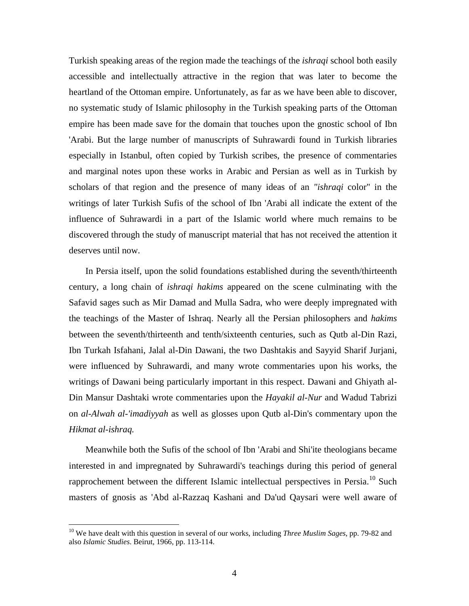Turkish speaking areas of the region made the teachings of the *ishraqi* school both easily accessible and intellectually attractive in the region that was later to become the heartland of the Ottoman empire. Unfortunately, as far as we have been able to discover, no systematic study of Islamic philosophy in the Turkish speaking parts of the Ottoman empire has been made save for the domain that touches upon the gnostic school of Ibn 'Arabi. But the large number of manuscripts of Suhrawardi found in Turkish libraries especially in Istanbul, often copied by Turkish scribes, the presence of commentaries and marginal notes upon these works in Arabic and Persian as well as in Turkish by scholars of that region and the presence of many ideas of an *"ishraqi* color" in the writings of later Turkish Sufis of the school of Ibn 'Arabi all indicate the extent of the influence of Suhrawardi in a part of the Islamic world where much remains to be discovered through the study of manuscript material that has not received the attention it deserves until now.

In Persia itself, upon the solid foundations established during the seventh/thirteenth century, a long chain of *ishraqi hakims* appeared on the scene culminating with the Safavid sages such as Mir Damad and Mulla Sadra, who were deeply impregnated with the teachings of the Master of Ishraq. Nearly all the Persian philosophers and *hakims*  between the seventh/thirteenth and tenth/sixteenth centuries, such as Qutb al-Din Razi, Ibn Turkah Isfahani, Jalal al-Din Dawani, the two Dashtakis and Sayyid Sharif Jurjani, were influenced by Suhrawardi, and many wrote commentaries upon his works, the writings of Dawani being particularly important in this respect. Dawani and Ghiyath al-Din Mansur Dashtaki wrote commentaries upon the *Hayakil al-Nur* and Wadud Tabrizi on *al-Alwah al-'imadiyyah* as well as glosses upon Qutb al-Din's commentary upon the *Hikmat al-ishraq.*

Meanwhile both the Sufis of the school of Ibn 'Arabi and Shi'ite theologians became interested in and impregnated by Suhrawardi's teachings during this period of general rapprochement between the different Islamic intellectual perspectives in Persia.<sup>[10](#page-3-0)</sup> Such masters of gnosis as 'Abd al-Razzaq Kashani and Da'ud Qaysari were well aware of

<span id="page-3-0"></span><sup>10</sup> We have dealt with this question in several of our works, including *Three Muslim Sages*, pp. 79-82 and also *Islamic Studies*. Beirut, 1966, pp. 113-114.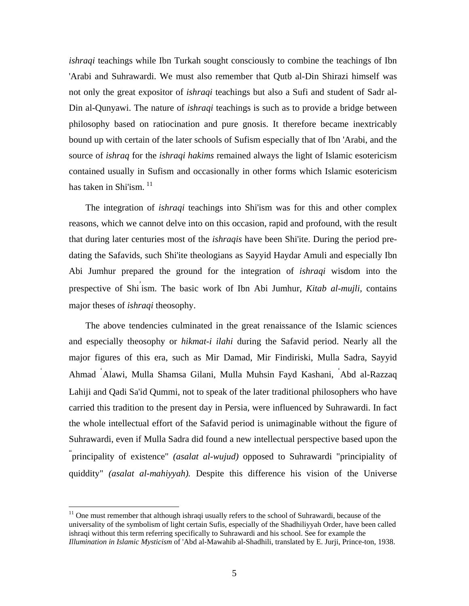*ishraqi* teachings while Ibn Turkah sought consciously to combine the teachings of Ibn 'Arabi and Suhrawardi. We must also remember that Qutb al-Din Shirazi himself was not only the great expositor of *ishraqi* teachings but also a Sufi and student of Sadr al-Din al-Qunyawi. The nature of *ishraqi* teachings is such as to provide a bridge between philosophy based on ratiocination and pure gnosis. It therefore became inextricably bound up with certain of the later schools of Sufism especially that of Ibn 'Arabi, and the source of *ishraq* for the *ishraqi hakims* remained always the light of Islamic esotericism contained usually in Sufism and occasionally in other forms which Islamic esotericism has taken in Shi'ism.<sup>[11](#page-4-0)</sup>

The integration of *ishraqi* teachings into Shi'ism was for this and other complex reasons, which we cannot delve into on this occasion, rapid and profound, with the result that during later centuries most of the *ishraqis* have been Shi'ite. During the period predating the Safavids, such Shi'ite theologians as Sayyid Haydar Amuli and especially Ibn Abi Jumhur prepared the ground for the integration of *ishraqi* wisdom into the prespective of Shi' ism. The basic work of Ibn Abi Jumhur, *Kitab al-mujli,* contains major theses of *ishraqi* theosophy.

The above tendencies culminated in the great renaissance of the Islamic sciences and especially theosophy or *hikmat-i ilahi* during the Safavid period. Nearly all the major figures of this era, such as Mir Damad, Mir Findiriski, Mulla Sadra, Sayyid Ahmad ' Alawi, Mulla Shamsa Gilani, Mulla Muhsin Fayd Kashani, ' Abd al-Razzaq Lahiji and Qadi Sa'id Qummi, not to speak of the later traditional philosophers who have carried this tradition to the present day in Persia, were influenced by Suhrawardi. In fact the whole intellectual effort of the Safavid period is unimaginable without the figure of Suhrawardi, even if Mulla Sadra did found a new intellectual perspective based upon the " principality of existence" *(asalat al-wujud)* opposed to Suhrawardi "principiality of quiddity" *(asalat al-mahiyyah).* Despite this difference his vision of the Universe

<span id="page-4-0"></span> $11$  One must remember that although ishraqi usually refers to the school of Suhrawardi, because of the universality of the symbolism of light certain Sufis, especially of the Shadhiliyyah Order, have been called ishraqi without this term referring specifically to Suhrawardi and his school. See for example the *Illumination in Islamic Mysticism* of 'Abd al-Mawahib al-Shadhili, translated by E. Jurji, Prince-ton, 1938.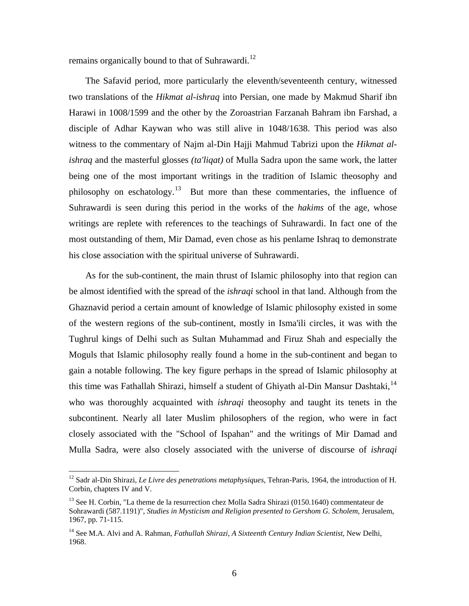remains organically bound to that of Suhrawardi.<sup>[12](#page-5-0)</sup>

The Safavid period, more particularly the eleventh/seventeenth century, witnessed two translations of the *Hikmat al-ishraq* into Persian, one made by Makmud Sharif ibn Harawi in 1008/1599 and the other by the Zoroastrian Farzanah Bahram ibn Farshad, a disciple of Adhar Kaywan who was still alive in 1048/1638. This period was also witness to the commentary of Najm al-Din Hajji Mahmud Tabrizi upon the *Hikmat alishraq* and the masterful glosses *(ta'liqat)* of Mulla Sadra upon the same work, the latter being one of the most important writings in the tradition of Islamic theosophy and philosophy on eschatology.<sup>[13](#page-5-1)</sup> But more than these commentaries, the influence of Suhrawardi is seen during this period in the works of the *hakims* of the age, whose writings are replete with references to the teachings of Suhrawardi. In fact one of the most outstanding of them, Mir Damad, even chose as his penlame Ishraq to demonstrate his close association with the spiritual universe of Suhrawardi.

As for the sub-continent, the main thrust of Islamic philosophy into that region can be almost identified with the spread of the *ishraqi* school in that land. Although from the Ghaznavid period a certain amount of knowledge of Islamic philosophy existed in some of the western regions of the sub-continent, mostly in Isma'ili circles, it was with the Tughrul kings of Delhi such as Sultan Muhammad and Firuz Shah and especially the Moguls that Islamic philosophy really found a home in the sub-continent and began to gain a notable following. The key figure perhaps in the spread of Islamic philosophy at this time was Fathallah Shirazi, himself a student of Ghiyath al-Din Mansur Dashtaki,<sup>[14](#page-5-2)</sup> who was thoroughly acquainted with *ishraqi* theosophy and taught its tenets in the subcontinent. Nearly all later Muslim philosophers of the region, who were in fact closely associated with the "School of Ispahan" and the writings of Mir Damad and Mulla Sadra, were also closely associated with the universe of discourse of *ishraqi* 

<span id="page-5-0"></span><sup>&</sup>lt;sup>12</sup> Sadr al-Din Shirazi, *Le Livre des penetrations metaphysiques*, Tehran-Paris, 1964, the introduction of H. Corbin, chapters IV and V.

<span id="page-5-1"></span><sup>&</sup>lt;sup>13</sup> See H. Corbin, "La theme de la resurrection chez Molla Sadra Shirazi (0150.1640) commentateur de Sohrawardi (587.1191)", *Studies in Mysticism and Religion presented to Gershom G. Scholem*, Jerusalem, 1967, pp. 71-115.

<span id="page-5-2"></span><sup>&</sup>lt;sup>14</sup> See M.A. Alvi and A. Rahman, *Fathullah Shirazi, A Sixteenth Century Indian Scientist*, New Delhi, 1968.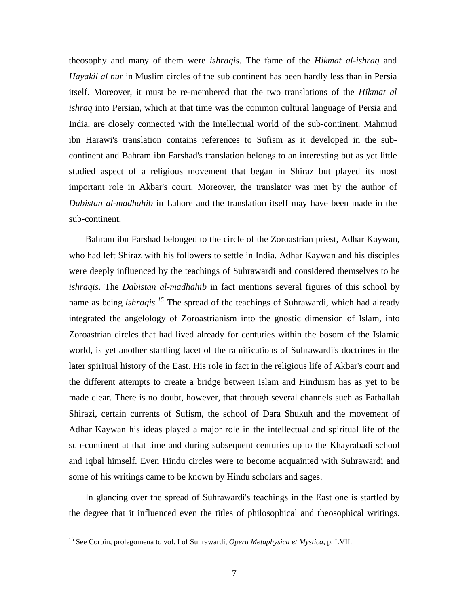theosophy and many of them were *ishraqis.* The fame of the *Hikmat al-ishraq* and *Hayakil al nur* in Muslim circles of the sub continent has been hardly less than in Persia itself. Moreover, it must be re-membered that the two translations of the *Hikmat al ishraq* into Persian, which at that time was the common cultural language of Persia and India, are closely connected with the intellectual world of the sub-continent. Mahmud ibn Harawi's translation contains references to Sufism as it developed in the subcontinent and Bahram ibn Farshad's translation belongs to an interesting but as yet little studied aspect of a religious movement that began in Shiraz but played its most important role in Akbar's court. Moreover, the translator was met by the author of *Dabistan al-madhahib* in Lahore and the translation itself may have been made in the sub-continent.

Bahram ibn Farshad belonged to the circle of the Zoroastrian priest, Adhar Kaywan, who had left Shiraz with his followers to settle in India. Adhar Kaywan and his disciples were deeply influenced by the teachings of Suhrawardi and considered themselves to be *ishraqis.* The *Dabistan al-madhahib* in fact mentions several figures of this school by name as being *ishraqis.*<sup>[15](#page-6-0)</sup> The spread of the teachings of Suhrawardi, which had already integrated the angelology of Zoroastrianism into the gnostic dimension of Islam, into Zoroastrian circles that had lived already for centuries within the bosom of the Islamic world, is yet another startling facet of the ramifications of Suhrawardi's doctrines in the later spiritual history of the East. His role in fact in the religious life of Akbar's court and the different attempts to create a bridge between Islam and Hinduism has as yet to be made clear. There is no doubt, however, that through several channels such as Fathallah Shirazi, certain currents of Sufism, the school of Dara Shukuh and the movement of Adhar Kaywan his ideas played a major role in the intellectual and spiritual life of the sub-continent at that time and during subsequent centuries up to the Khayrabadi school and Iqbal himself. Even Hindu circles were to become acquainted with Suhrawardi and some of his writings came to be known by Hindu scholars and sages.

In glancing over the spread of Suhrawardi's teachings in the East one is startled by the degree that it influenced even the titles of philosophical and theosophical writings.

<span id="page-6-0"></span><sup>15</sup> See Corbin, prolegomena to vol. I of Suhrawardi, *Opera Metaphysica et Mystica*, p. LVII.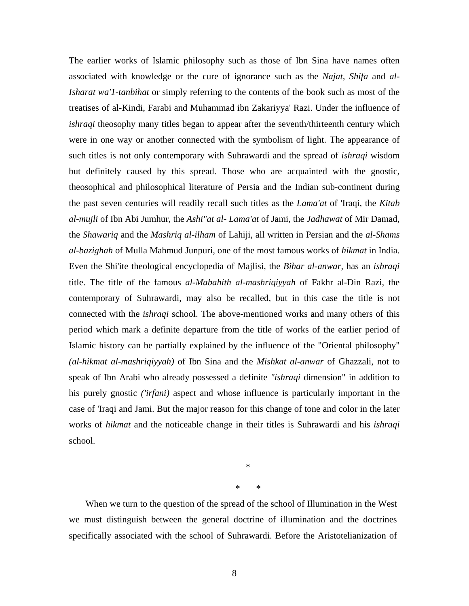The earlier works of Islamic philosophy such as those of Ibn Sina have names often associated with knowledge or the cure of ignorance such as the *Najat, Shifa* and *al-Isharat wa'1-tanbihat* or simply referring to the contents of the book such as most of the treatises of al-Kindi, Farabi and Muhammad ibn Zakariyya' Razi. Under the influence of *ishraqi* theosophy many titles began to appear after the seventh/thirteenth century which were in one way or another connected with the symbolism of light. The appearance of such titles is not only contemporary with Suhrawardi and the spread of *ishraqi* wisdom but definitely caused by this spread. Those who are acquainted with the gnostic, theosophical and philosophical literature of Persia and the Indian sub-continent during the past seven centuries will readily recall such titles as the *Lama'at* of 'Iraqi, the *Kitab al-mujli* of Ibn Abi Jumhur, the *Ashi"at al- Lama'at* of Jami, the *Jadhawat* of Mir Damad, the *Shawariq* and the *Mashriq al-ilham* of Lahiji, all written in Persian and the *al-Shams al-bazighah* of Mulla Mahmud Junpuri, one of the most famous works of *hikmat* in India. Even the Shi'ite theological encyclopedia of Majlisi, the *Bihar al-anwar,* has an *ishraqi*  title. The title of the famous *al-Mabahith al-mashriqiyyah* of Fakhr al-Din Razi, the contemporary of Suhrawardi, may also be recalled, but in this case the title is not connected with the *ishraqi* school. The above-mentioned works and many others of this period which mark a definite departure from the title of works of the earlier period of Islamic history can be partially explained by the influence of the "Oriental philosophy" *(al-hikmat al-mashriqiyyah)* of Ibn Sina and the *Mishkat al-anwar* of Ghazzali, not to speak of Ibn Arabi who already possessed a definite *"ishraqi* dimension" in addition to his purely gnostic *('irfani)* aspect and whose influence is particularly important in the case of 'Iraqi and Jami. But the major reason for this change of tone and color in the later works of *hikmat* and the noticeable change in their titles is Suhrawardi and his *ishraqi*  school.

\*

\* \*

When we turn to the question of the spread of the school of Illumination in the West we must distinguish between the general doctrine of illumination and the doctrines specifically associated with the school of Suhrawardi. Before the Aristotelianization of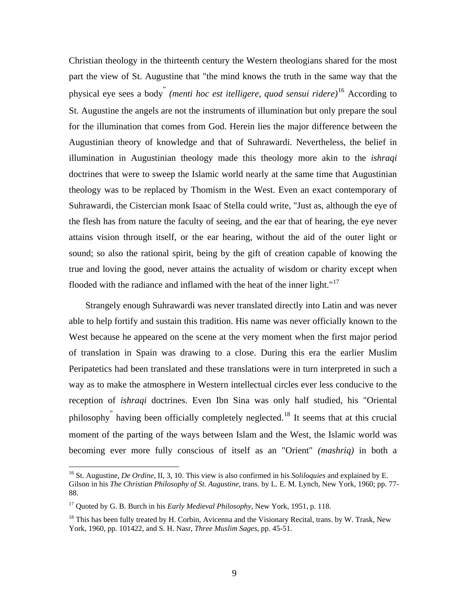Christian theology in the thirteenth century the Western theologians shared for the most part the view of St. Augustine that "the mind knows the truth in the same way that the physical eye sees a body" *(menti hoc est itelligere, quod sensui ridere)*[16](#page-8-0) According to St. Augustine the angels are not the instruments of illumination but only prepare the soul for the illumination that comes from God. Herein lies the major difference between the Augustinian theory of knowledge and that of Suhrawardi. Nevertheless, the belief in illumination in Augustinian theology made this theology more akin to the *ishraqi*  doctrines that were to sweep the Islamic world nearly at the same time that Augustinian theology was to be replaced by Thomism in the West. Even an exact contemporary of Suhrawardi, the Cistercian monk Isaac of Stella could write, "Just as, although the eye of the flesh has from nature the faculty of seeing, and the ear that of hearing, the eye never attains vision through itself, or the ear hearing, without the aid of the outer light or sound; so also the rational spirit, being by the gift of creation capable of knowing the true and loving the good, never attains the actuality of wisdom or charity except when flooded with the radiance and inflamed with the heat of the inner light."<sup>[17](#page-8-1)</sup>

Strangely enough Suhrawardi was never translated directly into Latin and was never able to help fortify and sustain this tradition. His name was never officially known to the West because he appeared on the scene at the very moment when the first major period of translation in Spain was drawing to a close. During this era the earlier Muslim Peripatetics had been translated and these translations were in turn interpreted in such a way as to make the atmosphere in Western intellectual circles ever less conducive to the reception of *ishraqi* doctrines. Even Ibn Sina was only half studied, his "Oriental philosophy<sup>"</sup> having been officially completely neglected.<sup>[18](#page-8-2)</sup> It seems that at this crucial moment of the parting of the ways between Islam and the West, the Islamic world was becoming ever more fully conscious of itself as an "Orient" *(mashriq)* in both a

<span id="page-8-0"></span><sup>16</sup> St. Augustine, *De Ordine*, II, 3, 10. This view is also confirmed in his *Soliloquies* and explained by E. Gilson in his *The Christian Philosophy of St. Augustine*, trans. by L. E. M. Lynch, New York, 1960; pp. 77- 88.

<span id="page-8-1"></span><sup>17</sup> Quoted by G. B. Burch in his *Early Medieval Philosophy*, New York, 1951, p. 118.

<span id="page-8-2"></span> $18$  This has been fully treated by H. Corbin, Avicenna and the Visionary Recital, trans. by W. Trask, New York, 1960, pp. 101422, and S. H. Nasr, *Three Muslim Sages*, pp. 45-51.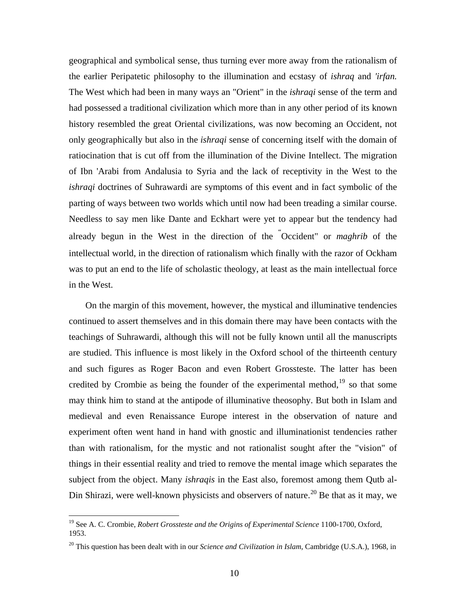geographical and symbolical sense, thus turning ever more away from the rationalism of the earlier Peripatetic philosophy to the illumination and ecstasy of *ishraq* and *'irfan.*  The West which had been in many ways an "Orient" in the *ishraqi* sense of the term and had possessed a traditional civilization which more than in any other period of its known history resembled the great Oriental civilizations, was now becoming an Occident, not only geographically but also in the *ishraqi* sense of concerning itself with the domain of ratiocination that is cut off from the illumination of the Divine Intellect. The migration of Ibn 'Arabi from Andalusia to Syria and the lack of receptivity in the West to the *ishraqi* doctrines of Suhrawardi are symptoms of this event and in fact symbolic of the parting of ways between two worlds which until now had been treading a similar course. Needless to say men like Dante and Eckhart were yet to appear but the tendency had already begun in the West in the direction of the " Occident" or *maghrib* of the intellectual world, in the direction of rationalism which finally with the razor of Ockham was to put an end to the life of scholastic theology, at least as the main intellectual force in the West.

On the margin of this movement, however, the mystical and illuminative tendencies continued to assert themselves and in this domain there may have been contacts with the teachings of Suhrawardi, although this will not be fully known until all the manuscripts are studied. This influence is most likely in the Oxford school of the thirteenth century and such figures as Roger Bacon and even Robert Grossteste. The latter has been credited by Crombie as being the founder of the experimental method, $19$  so that some may think him to stand at the antipode of illuminative theosophy. But both in Islam and medieval and even Renaissance Europe interest in the observation of nature and experiment often went hand in hand with gnostic and illuminationist tendencies rather than with rationalism, for the mystic and not rationalist sought after the "vision" of things in their essential reality and tried to remove the mental image which separates the subject from the object. Many *ishraqis* in the East also, foremost among them Qutb al-Din Shirazi, were well-known physicists and observers of nature.<sup>[20](#page-9-1)</sup> Be that as it may, we

<span id="page-9-0"></span><sup>&</sup>lt;sup>19</sup> See A. C. Crombie, *Robert Grossteste and the Origins of Experimental Science* 1100-1700, Oxford, 1953.

<span id="page-9-1"></span><sup>20</sup> This question has been dealt with in our *Science and Civilization in Islam,* Cambridge (U.S.A.), 1968, in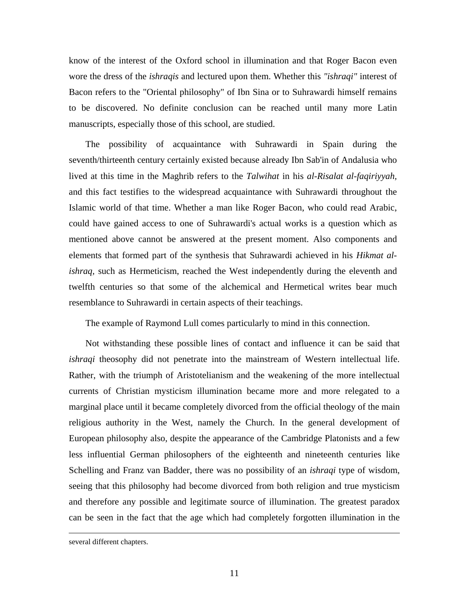know of the interest of the Oxford school in illumination and that Roger Bacon even wore the dress of the *ishraqis* and lectured upon them. Whether this *"ishraqi"* interest of Bacon refers to the "Oriental philosophy" of Ibn Sina or to Suhrawardi himself remains to be discovered. No definite conclusion can be reached until many more Latin manuscripts, especially those of this school, are studied.

The possibility of acquaintance with Suhrawardi in Spain during the seventh/thirteenth century certainly existed because already Ibn Sab'in of Andalusia who lived at this time in the Maghrib refers to the *Talwihat* in his *al-Risalat al-faqiriyyah,*  and this fact testifies to the widespread acquaintance with Suhrawardi throughout the Islamic world of that time. Whether a man like Roger Bacon, who could read Arabic, could have gained access to one of Suhrawardi's actual works is a question which as mentioned above cannot be answered at the present moment. Also components and elements that formed part of the synthesis that Suhrawardi achieved in his *Hikmat alishraq,* such as Hermeticism, reached the West independently during the eleventh and twelfth centuries so that some of the alchemical and Hermetical writes bear much resemblance to Suhrawardi in certain aspects of their teachings.

The example of Raymond Lull comes particularly to mind in this connection.

Not withstanding these possible lines of contact and influence it can be said that *ishraqi* theosophy did not penetrate into the mainstream of Western intellectual life. Rather, with the triumph of Aristotelianism and the weakening of the more intellectual currents of Christian mysticism illumination became more and more relegated to a marginal place until it became completely divorced from the official theology of the main religious authority in the West, namely the Church. In the general development of European philosophy also, despite the appearance of the Cambridge Platonists and a few less influential German philosophers of the eighteenth and nineteenth centuries like Schelling and Franz van Badder, there was no possibility of an *ishraqi* type of wisdom, seeing that this philosophy had become divorced from both religion and true mysticism and therefore any possible and legitimate source of illumination. The greatest paradox can be seen in the fact that the age which had completely forgotten illumination in the

several different chapters.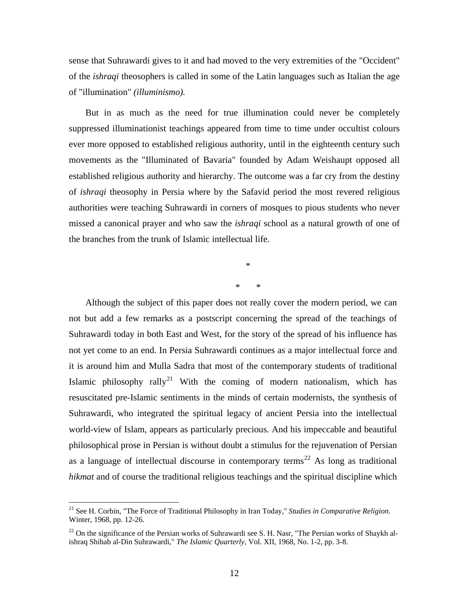sense that Suhrawardi gives to it and had moved to the very extremities of the "Occident" of the *ishraqi* theosophers is called in some of the Latin languages such as Italian the age of "illumination" *(illuminismo).* 

But in as much as the need for true illumination could never be completely suppressed illuminationist teachings appeared from time to time under occultist colours ever more opposed to established religious authority, until in the eighteenth century such movements as the "Illuminated of Bavaria" founded by Adam Weishaupt opposed all established religious authority and hierarchy. The outcome was a far cry from the destiny of *ishraqi* theosophy in Persia where by the Safavid period the most revered religious authorities were teaching Suhrawardi in corners of mosques to pious students who never missed a canonical prayer and who saw the *ishraqi* school as a natural growth of one of the branches from the trunk of Islamic intellectual life.

\*

\* \*

Although the subject of this paper does not really cover the modern period, we can not but add a few remarks as a postscript concerning the spread of the teachings of Suhrawardi today in both East and West, for the story of the spread of his influence has not yet come to an end. In Persia Suhrawardi continues as a major intellectual force and it is around him and Mulla Sadra that most of the contemporary students of traditional Islamic philosophy rally<sup>[21](#page-11-0)</sup> With the coming of modern nationalism, which has resuscitated pre-Islamic sentiments in the minds of certain modernists, the synthesis of Suhrawardi, who integrated the spiritual legacy of ancient Persia into the intellectual world-view of Islam, appears as particularly precious. And his impeccable and beautiful philosophical prose in Persian is without doubt a stimulus for the rejuvenation of Persian as a language of intellectual discourse in contemporary terms<sup>[22](#page-11-1)</sup> As long as traditional *hikmat* and of course the traditional religious teachings and the spiritual discipline which

<span id="page-11-0"></span><sup>21</sup> See H. Corbin, "The Force of Traditional Philosophy in Iran Today," *Studies in Comparative Religion.* Winter, 1968, pp. 12-26.

<span id="page-11-1"></span> $22$  On the significance of the Persian works of Suhrawardi see S. H. Nasr, "The Persian works of Shaykh alishraq Shihab al-Din Suhrawardi," *The Islamic Quarterly*, Vol. XII, 1968, No. 1-2, pp. 3-8.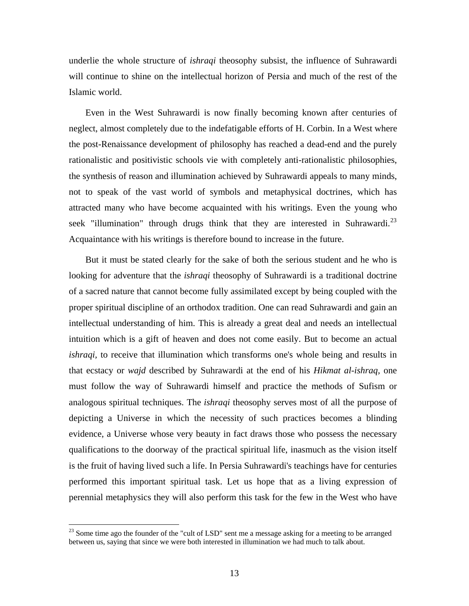underlie the whole structure of *ishraqi* theosophy subsist, the influence of Suhrawardi will continue to shine on the intellectual horizon of Persia and much of the rest of the Islamic world.

Even in the West Suhrawardi is now finally becoming known after centuries of neglect, almost completely due to the indefatigable efforts of H. Corbin. In a West where the post-Renaissance development of philosophy has reached a dead-end and the purely rationalistic and positivistic schools vie with completely anti-rationalistic philosophies, the synthesis of reason and illumination achieved by Suhrawardi appeals to many minds, not to speak of the vast world of symbols and metaphysical doctrines, which has attracted many who have become acquainted with his writings. Even the young who seek "illumination" through drugs think that they are interested in Suhrawardi.<sup>[23](#page-12-0)</sup> Acquaintance with his writings is therefore bound to increase in the future.

But it must be stated clearly for the sake of both the serious student and he who is looking for adventure that the *ishraqi* theosophy of Suhrawardi is a traditional doctrine of a sacred nature that cannot become fully assimilated except by being coupled with the proper spiritual discipline of an orthodox tradition. One can read Suhrawardi and gain an intellectual understanding of him. This is already a great deal and needs an intellectual intuition which is a gift of heaven and does not come easily. But to become an actual *ishraqi,* to receive that illumination which transforms one's whole being and results in that ecstacy or *wajd* described by Suhrawardi at the end of his *Hikmat al-ishraq,* one must follow the way of Suhrawardi himself and practice the methods of Sufism or analogous spiritual techniques. The *ishraqi* theosophy serves most of all the purpose of depicting a Universe in which the necessity of such practices becomes a blinding evidence, a Universe whose very beauty in fact draws those who possess the necessary qualifications to the doorway of the practical spiritual life, inasmuch as the vision itself is the fruit of having lived such a life. In Persia Suhrawardi's teachings have for centuries performed this important spiritual task. Let us hope that as a living expression of perennial metaphysics they will also perform this task for the few in the West who have

<span id="page-12-0"></span><sup>&</sup>lt;sup>23</sup> Some time ago the founder of the "cult of LSD" sent me a message asking for a meeting to be arranged between us, saying that since we were both interested in illumination we had much to talk about.